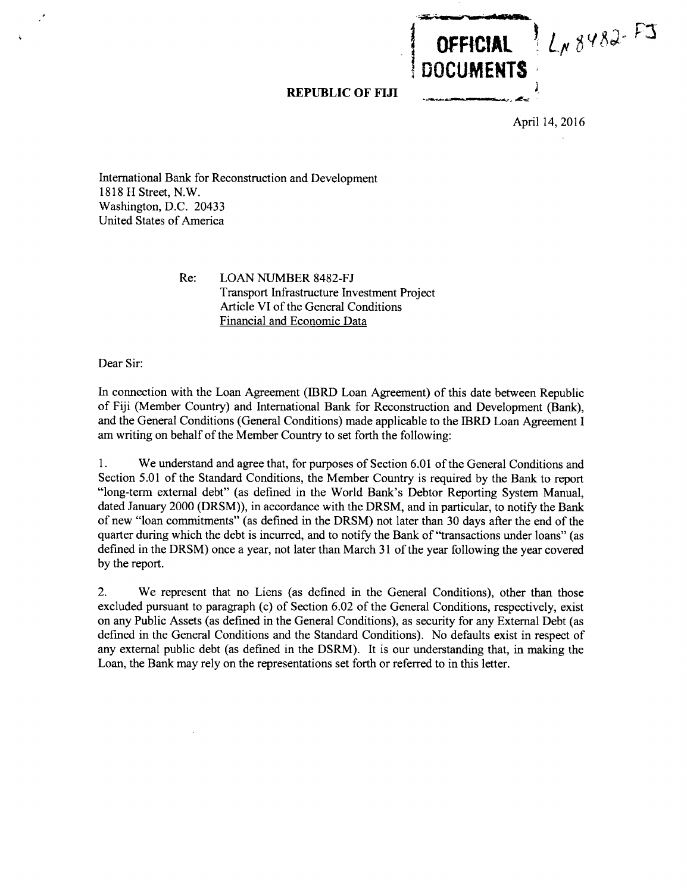**REPUBLIC OF FIJI**

April 14, **2016**

LN 8482-FJ

**IOFFICIAL DOCUMENTS**

International Bank for Reconstruction and Development **1818** H Street, N.W. Washington, **D.C.** 20433 United States of America

> Re: **LOAN NUMBER 8482-FJ** Transport Infrastructure Investment Project Article VI of the General Conditions Financial and Economic Data

Dear Sir:

In connection with the Loan Agreement (IBRD Loan Agreement) of this date between Republic of **Fiji** (Member Country) and International Bank for Reconstruction and Development (Bank), and the General Conditions (General Conditions) made applicable to the IBRD Loan Agreement **I** am writing on behalf of the Member Country to set forth the following:

**1.** We understand and agree that, for purposes of Section **6.01** of the General Conditions and Section **5.01** of the Standard Conditions, the Member Country is required **by** the Bank to report "long-term external debt" (as defined in the World Bank's Debtor Reporting System Manual, dated January 2000 (DRSM)), in accordance with the DRSM, and in particular, to notify the Bank of new "loan commitments" (as defined in the DRSM) not later than **30** days after the end of the quarter during which the debt is incurred, and to notify the Bank of "transactions under loans" (as defined in the DRSM) once a year, not later than March **31** of the year following the year covered **by** the report.

2. We represent that no Liens (as defined in the General Conditions), other than those excluded pursuant to paragraph (c) of Section **6.02** of the General Conditions, respectively, exist on any Public Assets (as defined in the General Conditions), as security for any External Debt (as defined in the General Conditions and the Standard Conditions). No defaults exist in respect of any external public debt (as defined in the DSRM). It is our understanding that, in making the Loan, the Bank may rely on the representations set forth or referred to in this letter.